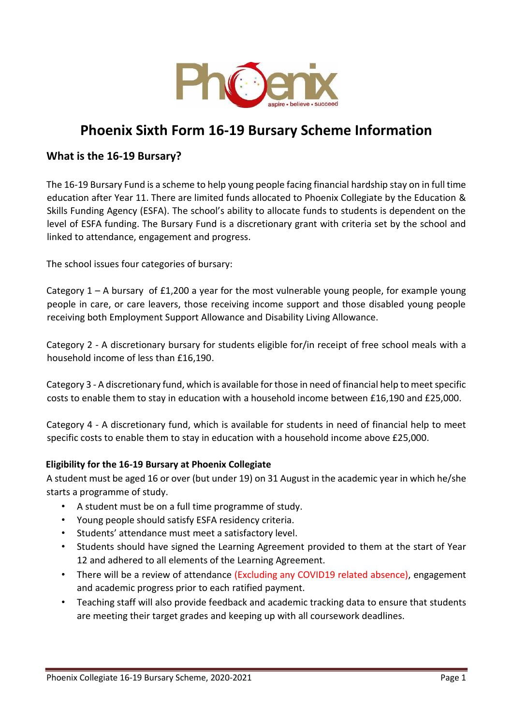

# **Phoenix Sixth Form 16-19 Bursary Scheme Information**

## **What is the 16-19 Bursary?**

The 16-19 Bursary Fund is a scheme to help young people facing financial hardship stay on in full time education after Year 11. There are limited funds allocated to Phoenix Collegiate by the Education & Skills Funding Agency (ESFA). The school's ability to allocate funds to students is dependent on the level of ESFA funding. The Bursary Fund is a discretionary grant with criteria set by the school and linked to attendance, engagement and progress.

The school issues four categories of bursary:

Category 1 – A bursary of £1,200 a year for the most vulnerable young people, for example young people in care, or care leavers, those receiving income support and those disabled young people receiving both Employment Support Allowance and Disability Living Allowance.

Category 2 - A discretionary bursary for students eligible for/in receipt of free school meals with a household income of less than £16,190.

Category 3 - A discretionary fund, which is available for those in need of financial help to meet specific costs to enable them to stay in education with a household income between £16,190 and £25,000.

Category 4 - A discretionary fund, which is available for students in need of financial help to meet specific costs to enable them to stay in education with a household income above £25,000.

## **Eligibility for the 16-19 Bursary at Phoenix Collegiate**

A student must be aged 16 or over (but under 19) on 31 August in the academic year in which he/she starts a programme of study.

- A student must be on a full time programme of study.
- Young people should satisfy ESFA residency criteria.
- Students' attendance must meet a satisfactory level.
- Students should have signed the Learning Agreement provided to them at the start of Year 12 and adhered to all elements of the Learning Agreement.
- There will be a review of attendance (Excluding any COVID19 related absence), engagement and academic progress prior to each ratified payment.
- Teaching staff will also provide feedback and academic tracking data to ensure that students are meeting their target grades and keeping up with all coursework deadlines.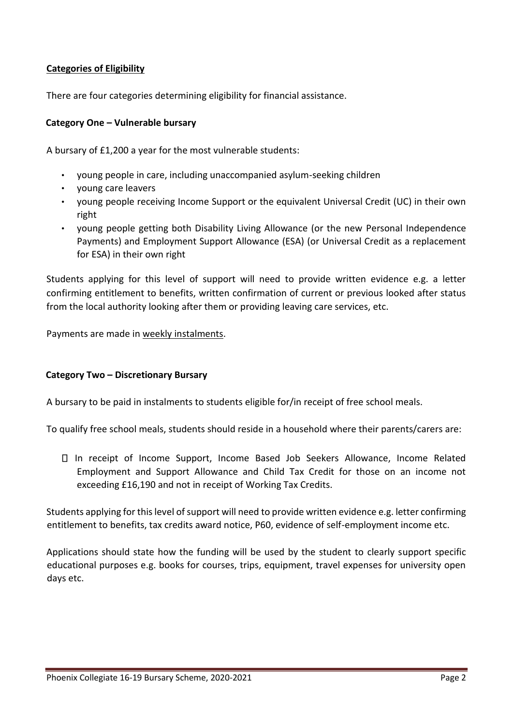## **Categories of Eligibility**

There are four categories determining eligibility for financial assistance.

## **Category One – Vulnerable bursary**

A bursary of £1,200 a year for the most vulnerable students:

- young people in care, including unaccompanied asylum-seeking children
- young care leavers
- young people receiving Income Support or the equivalent Universal Credit (UC) in their own right
- young people getting both Disability Living Allowance (or the new Personal Independence Payments) and Employment Support Allowance (ESA) (or Universal Credit as a replacement for ESA) in their own right

Students applying for this level of support will need to provide written evidence e.g. a letter confirming entitlement to benefits, written confirmation of current or previous looked after status from the local authority looking after them or providing leaving care services, etc.

Payments are made in weekly instalments.

#### **Category Two – Discretionary Bursary**

A bursary to be paid in instalments to students eligible for/in receipt of free school meals.

To qualify free school meals, students should reside in a household where their parents/carers are:

In receipt of Income Support, Income Based Job Seekers Allowance, Income Related Employment and Support Allowance and Child Tax Credit for those on an income not exceeding £16,190 and not in receipt of Working Tax Credits.

Students applying for this level of support will need to provide written evidence e.g. letter confirming entitlement to benefits, tax credits award notice, P60, evidence of self-employment income etc.

Applications should state how the funding will be used by the student to clearly support specific educational purposes e.g. books for courses, trips, equipment, travel expenses for university open days etc.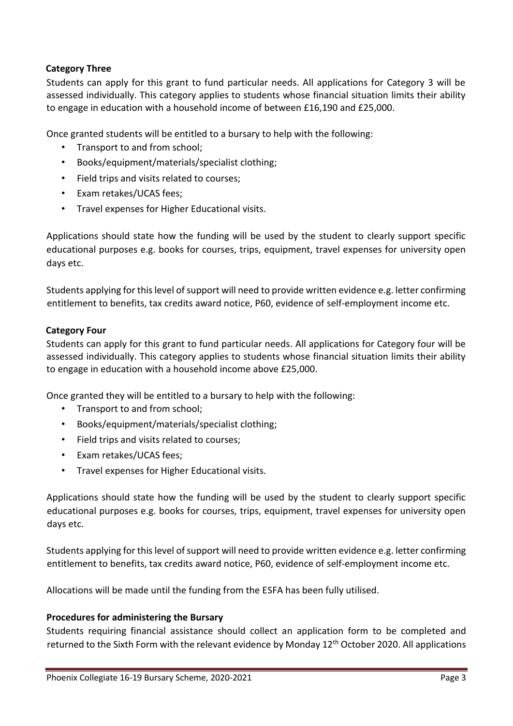## **Category Three**

Students can apply for this grant to fund particular needs. All applications for Category 3 will be assessed individually. This category applies to students whose financial situation limits their ability to engage in education with a household income of between £16,190 and £25,000.

Once granted students will be entitled to a bursary to help with the following:

- Transport to and from school;
- Books/equipment/materials/specialist clothing;
- Field trips and visits related to courses;
- Exam retakes/UCAS fees;
- Travel expenses for Higher Educational visits.

Applications should state how the funding will be used by the student to clearly support specific educational purposes e.g. books for courses, trips, equipment, travel expenses for university open days etc.

Students applying for this level of support will need to provide written evidence e.g. letter confirming entitlement to benefits, tax credits award notice, P60, evidence of self-employment income etc.

### **Category Four**

Students can apply for this grant to fund particular needs. All applications for Category four will be assessed individually. This category applies to students whose financial situation limits their ability to engage in education with a household income above £25,000.

Once granted they will be entitled to a bursary to help with the following:

- Transport to and from school;
- Books/equipment/materials/specialist clothing;
- Field trips and visits related to courses;
- Exam retakes/UCAS fees;
- Travel expenses for Higher Educational visits.

Applications should state how the funding will be used by the student to clearly support specific educational purposes e.g. books for courses, trips, equipment, travel expenses for university open days etc.

Students applying for this level of support will need to provide written evidence e.g. letter confirming entitlement to benefits, tax credits award notice, P60, evidence of self-employment income etc.

Allocations will be made until the funding from the ESFA has been fully utilised.

#### **Procedures for administering the Bursary**

Students requiring financial assistance should collect an application form to be completed and returned to the Sixth Form with the relevant evidence by Monday 12<sup>th</sup> October 2020. All applications